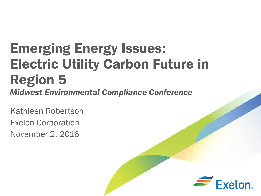# Emerging Energy Issues: Electric Utility Carbon Future in Region 5 *Midwest Environmental Compliance Conference*

Kathleen Robertson Exelon Corporation November 2, 2016

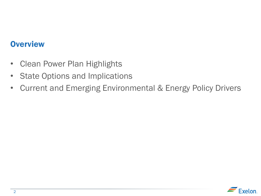#### **Overview**

- Clean Power Plan Highlights
- State Options and Implications
- Current and Emerging Environmental & Energy Policy Drivers

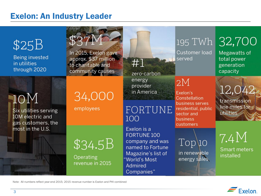#### Exelon: An Industry Leader



Note: All numbers reflect year-end 2015; 2015 revenue number is Exelon and PHI combined

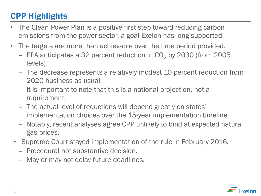# CPP Highlights

- The Clean Power Plan is a positive first step toward reducing carbon emissions from the power sector, a goal Exelon has long supported.
- The targets are more than achievable over the time period provided.
	- EPA anticipates a 32 percent reduction in  $CO<sub>2</sub>$  by 2030 (from 2005 levels).
	- The decrease represents a relatively modest 10 percent reduction from 2020 business as usual.
	- It is important to note that this is a national projection, not a requirement.
	- The actual level of reductions will depend greatly on states' implementation choices over the 15-year implementation timeline.
	- Notably, recent analyses agree CPP unlikely to bind at expected natural gas prices.
	- Supreme Court stayed implementation of the rule in February 2016.
		- Procedural not substantive decision.
		- May or may not delay future deadlines.

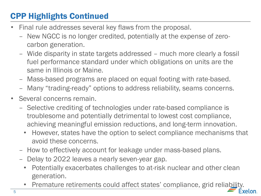# CPP Highlights Continued

- Final rule addresses several key flaws from the proposal.
	- New NGCC is no longer credited, potentially at the expense of zerocarbon generation.
	- Wide disparity in state targets addressed much more clearly a fossil fuel performance standard under which obligations on units are the same in Illinois or Maine.
	- Mass-based programs are placed on equal footing with rate-based.
	- Many "trading-ready" options to address reliability, seams concerns.
- Several concerns remain.
	- Selective crediting of technologies under rate-based compliance is troublesome and potentially detrimental to lowest cost compliance, achieving meaningful emission reductions, and long-term innovation.
		- However, states have the option to select compliance mechanisms that avoid these concerns.
	- How to effectively account for leakage under mass-based plans.
	- Delay to 2022 leaves a nearly seven-year gap.
		- Potentially exacerbates challenges to at-risk nuclear and other clean generation.
		- Premature retirements could affect states' compliance, grid reliability. Exelon.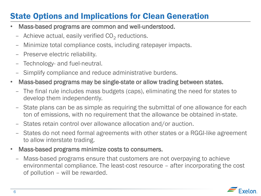## State Options and Implications for Clean Generation

- Mass-based programs are common and well-understood.
	- Achieve actual, easily verified  $CO<sub>2</sub>$  reductions.
	- Minimize total compliance costs, including ratepayer impacts.
	- Preserve electric reliability.
	- Technology- and fuel-neutral.
	- Simplify compliance and reduce administrative burdens.
- Mass-based programs may be single-state or allow trading between states.
	- The final rule includes mass budgets (caps), eliminating the need for states to develop them independently.
	- State plans can be as simple as requiring the submittal of one allowance for each ton of emissions, with no requirement that the allowance be obtained in-state.
	- States retain control over allowance allocation and/or auction.
	- States do not need formal agreements with other states or a RGGI-like agreement to allow interstate trading.
- Mass-based programs minimize costs to consumers.
	- Mass-based programs ensure that customers are not overpaying to achieve environmental compliance. The least-cost resource – after incorporating the cost of pollution – will be rewarded.

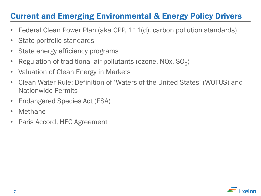### Current and Emerging Environmental & Energy Policy Drivers

- Federal Clean Power Plan (aka CPP, 111(d), carbon pollution standards)
- State portfolio standards
- State energy efficiency programs
- Regulation of traditional air pollutants (ozone, NOx,  $SO_2$ )
- Valuation of Clean Energy in Markets
- Clean Water Rule: Definition of 'Waters of the United States' (WOTUS) and Nationwide Permits
- Endangered Species Act (ESA)
- Methane
- Paris Accord, HFC Agreement